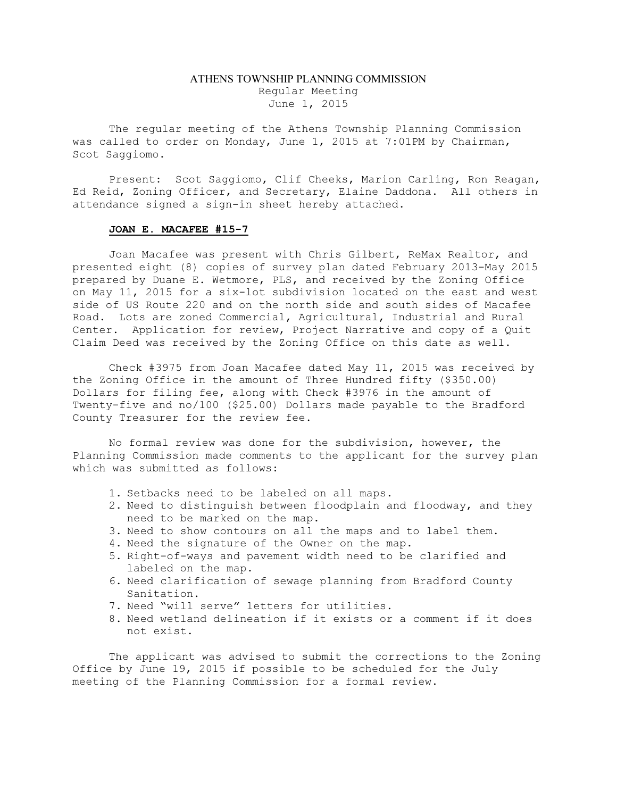## ATHENS TOWNSHIP PLANNING COMMISSION Regular Meeting June 1, 2015

The regular meeting of the Athens Township Planning Commission was called to order on Monday, June 1, 2015 at 7:01PM by Chairman, Scot Saggiomo.

Present: Scot Saggiomo, Clif Cheeks, Marion Carling, Ron Reagan, Ed Reid, Zoning Officer, and Secretary, Elaine Daddona. All others in attendance signed a sign-in sheet hereby attached.

## JOAN E. MACAFEE #15-7

Joan Macafee was present with Chris Gilbert, ReMax Realtor, and presented eight (8) copies of survey plan dated February 2013-May 2015 prepared by Duane E. Wetmore, PLS, and received by the Zoning Office on May 11, 2015 for a six-lot subdivision located on the east and west side of US Route 220 and on the north side and south sides of Macafee Road. Lots are zoned Commercial, Agricultural, Industrial and Rural Center. Application for review, Project Narrative and copy of a Quit Claim Deed was received by the Zoning Office on this date as well.

Check #3975 from Joan Macafee dated May 11, 2015 was received by the Zoning Office in the amount of Three Hundred fifty (\$350.00) Dollars for filing fee, along with Check #3976 in the amount of Twenty-five and no/100 (\$25.00) Dollars made payable to the Bradford County Treasurer for the review fee.

No formal review was done for the subdivision, however, the Planning Commission made comments to the applicant for the survey plan which was submitted as follows:

- 1. Setbacks need to be labeled on all maps.
- 2. Need to distinguish between floodplain and floodway, and they need to be marked on the map.
- 3. Need to show contours on all the maps and to label them.
- 4. Need the signature of the Owner on the map.
- 5. Right-of-ways and pavement width need to be clarified and labeled on the map.
- 6. Need clarification of sewage planning from Bradford County Sanitation.
- 7. Need "will serve" letters for utilities.
- 8. Need wetland delineation if it exists or a comment if it does not exist.

The applicant was advised to submit the corrections to the Zoning Office by June 19, 2015 if possible to be scheduled for the July meeting of the Planning Commission for a formal review.